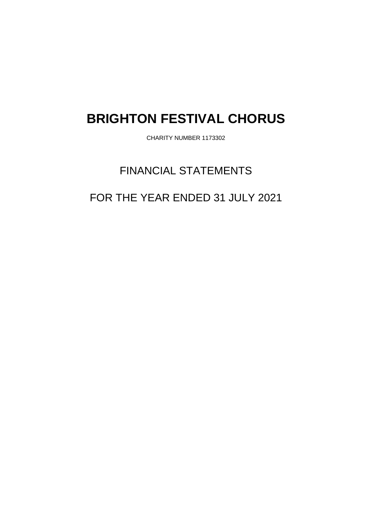CHARITY NUMBER 1173302

## FINANCIAL STATEMENTS

## FOR THE YEAR ENDED 31 JULY 2021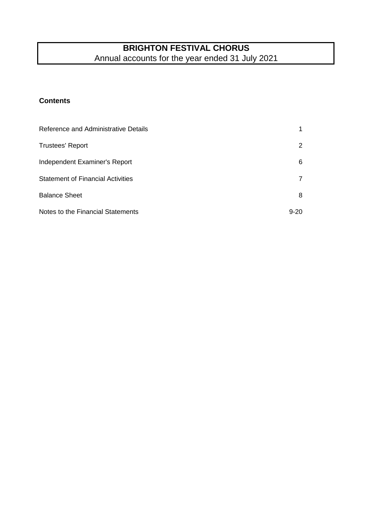#### **Contents**

| Reference and Administrative Details     |                |
|------------------------------------------|----------------|
| <b>Trustees' Report</b>                  | 2              |
| Independent Examiner's Report            | 6              |
| <b>Statement of Financial Activities</b> | $\overline{7}$ |
| <b>Balance Sheet</b>                     | 8              |
| Notes to the Financial Statements        | $9 - 20$       |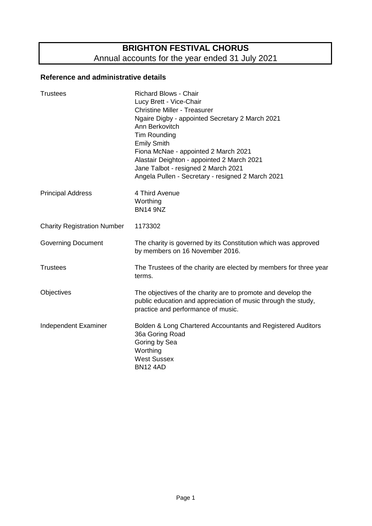## Annual accounts for the year ended 31 July 2021 **BRIGHTON FESTIVAL CHORUS**

#### **Reference and administrative details**

| <b>Trustees</b>                    | <b>Richard Blows - Chair</b><br>Lucy Brett - Vice-Chair<br><b>Christine Miller - Treasurer</b><br>Ngaire Digby - appointed Secretary 2 March 2021<br>Ann Berkovitch<br>Tim Rounding<br><b>Emily Smith</b><br>Fiona McNae - appointed 2 March 2021<br>Alastair Deighton - appointed 2 March 2021<br>Jane Talbot - resigned 2 March 2021<br>Angela Pullen - Secretary - resigned 2 March 2021 |
|------------------------------------|---------------------------------------------------------------------------------------------------------------------------------------------------------------------------------------------------------------------------------------------------------------------------------------------------------------------------------------------------------------------------------------------|
| <b>Principal Address</b>           | 4 Third Avenue<br>Worthing<br><b>BN14 9NZ</b>                                                                                                                                                                                                                                                                                                                                               |
| <b>Charity Registration Number</b> | 1173302                                                                                                                                                                                                                                                                                                                                                                                     |
| <b>Governing Document</b>          | The charity is governed by its Constitution which was approved<br>by members on 16 November 2016.                                                                                                                                                                                                                                                                                           |
| <b>Trustees</b>                    | The Trustees of the charity are elected by members for three year<br>terms.                                                                                                                                                                                                                                                                                                                 |
| Objectives                         | The objectives of the charity are to promote and develop the<br>public education and appreciation of music through the study,<br>practice and performance of music.                                                                                                                                                                                                                         |
| Independent Examiner               | Bolden & Long Chartered Accountants and Registered Auditors<br>36a Goring Road<br>Goring by Sea<br>Worthing<br><b>West Sussex</b><br><b>BN12 4AD</b>                                                                                                                                                                                                                                        |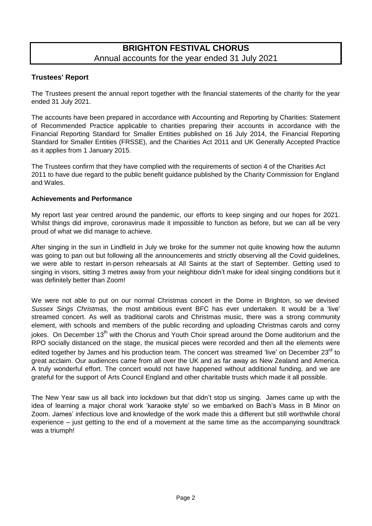#### **Trustees' Report**

The Trustees present the annual report together with the financial statements of the charity for the year ended 31 July 2021.

The accounts have been prepared in accordance with Accounting and Reporting by Charities: Statement of Recommended Practice applicable to charities preparing their accounts in accordance with the Financial Reporting Standard for Smaller Entities published on 16 July 2014, the Financial Reporting Standard for Smaller Entities (FRSSE), and the Charities Act 2011 and UK Generally Accepted Practice as it applies from 1 January 2015.

The Trustees confirm that they have complied with the requirements of section 4 of the Charities Act 2011 to have due regard to the public benefit guidance published by the Charity Commission for England and Wales.

#### **Achievements and Performance**

My report last year centred around the pandemic, our efforts to keep singing and our hopes for 2021. Whilst things did improve, coronavirus made it impossible to function as before, but we can all be very proud of what we did manage to achieve.

After singing in the sun in Lindfield in July we broke for the summer not quite knowing how the autumn was going to pan out but following all the announcements and strictly observing all the Covid guidelines, we were able to restart in-person rehearsals at All Saints at the start of September. Getting used to singing in visors, sitting 3 metres away from your neighbour didn't make for ideal singing conditions but it was definitely better than Zoom!

We were not able to put on our normal Christmas concert in the Dome in Brighton, so we devised Sussex Sings Christmas, the most ambitious event BFC has ever undertaken. It would be a 'live' streamed concert. As well as traditional carols and Christmas music, there was a strong community element, with schools and members of the public recording and uploading Christmas carols and corny iokes. On December 13<sup>th</sup> with the Chorus and Youth Choir spread around the Dome auditorium and the RPO socially distanced on the stage, the musical pieces were recorded and then all the elements were edited together by James and his production team. The concert was streamed 'live' on December 23<sup>rd</sup> to great acclaim. Our audiences came from all over the UK and as far away as New Zealand and America. A truly wonderful effort. The concert would not have happened without additional funding, and we are grateful for the support of Arts Council England and other charitable trusts which made it all possible.

The New Year saw us all back into lockdown but that didn't stop us singing. James came up with the idea of learning a major choral work 'karaoke style' so we embarked on Bach's Mass in B Minor on Zoom. James' infectious love and knowledge of the work made this a different but still worthwhile choral experience  $-\dot{}$  just getting to the end of a movement at the same time as the accompanying soundtrack was a triumph!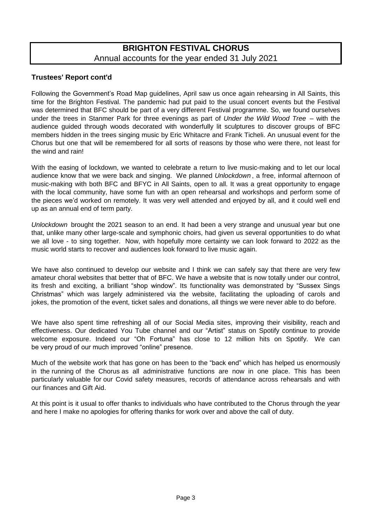#### **Trustees' Report cont'd**

Following the Government's Road Map guidelines, April saw us once again rehearsing in All Saints, this time for the Brighton Festival. The pandemic had put paid to the usual concert events but the Festival was determined that BFC should be part of a very different Festival programme. So, we found ourselves under the trees in Stanmer Park for three evenings as part of Under the Wild Wood Tree  $-$  with the audience guided through woods decorated with wonderfully lit sculptures to discover groups of BFC members hidden in the trees singing music by Eric Whitacre and Frank Ticheli. An unusual event for the Chorus but one that will be remembered for all sorts of reasons by those who were there, not least for the wind and rain!

With the easing of lockdown, we wanted to celebrate a return to live music-making and to let our local audience know that we were back and singing. We planned Unlockdown, a free, informal afternoon of music-making with both BFC and BFYC in All Saints, open to all. It was a great opportunity to engage with the local community, have some fun with an open rehearsal and workshops and perform some of the pieces we'd worked on remotely. It was very well attended and enjoyed by all, and it could well end up as an annual end of term party.

Unlockdown brought the 2021 season to an end. It had been a very strange and unusual year but one that, unlike many other large-scale and symphonic choirs, had given us several opportunities to do what we all love - to sing together. Now, with hopefully more certainty we can look forward to 2022 as the music world starts to recover and audiences look forward to live music again.

We have also continued to develop our website and I think we can safely say that there are very few amateur choral websites that better that of BFC. We have a website that is now totally under our control, its fresh and exciting, a brilliant "shop window". Its functionality was demonstrated by "Sussex Sings Christmas" which was largely administered via the website, facilitating the uploading of carols and jokes, the promotion of the event, ticket sales and donations, all things we were never able to do before.

We have also spent time refreshing all of our Social Media sites, improving their visibility, reach and effectiveness. Our dedicated You Tube channel and our "Artist" status on Spotify continue to provide welcome exposure. Indeed our "Oh Fortuna" has close to 12 million hits on Spotify. We can be very proud of our much improved "online" presence.

Much of the website work that has gone on has been to the "back end" which has helped us enormously in the running of the Chorus as all administrative functions are now in one place. This has been particularly valuable for our Covid safety measures, records of attendance across rehearsals and with our finances and Gift Aid.

At this point is it usual to offer thanks to individuals who have contributed to the Chorus through the year and here I make no apologies for offering thanks for work over and above the call of duty.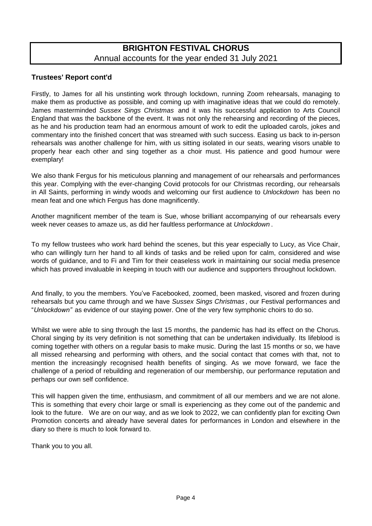#### **Trustees' Report cont'd**

Firstly, to James for all his unstinting work through lockdown, running Zoom rehearsals, managing to make them as productive as possible, and coming up with imaginative ideas that we could do remotely. James masterminded Sussex Sings Christmas and it was his successful application to Arts Council England that was the backbone of the event. It was not only the rehearsing and recording of the pieces, as he and his production team had an enormous amount of work to edit the uploaded carols, jokes and commentary into the finished concert that was streamed with such success. Easing us back to in-person rehearsals was another challenge for him, with us sitting isolated in our seats, wearing visors unable to properly hear each other and sing together as a choir must. His patience and good humour were exemplary!

We also thank Fergus for his meticulous planning and management of our rehearsals and performances this year. Complying with the ever-changing Covid protocols for our Christmas recording, our rehearsals in All Saints, performing in windy woods and welcoming our first audience to Unlockdown has been no mean feat and one which Fergus has done magnificently.

Another magnificent member of the team is Sue, whose brilliant accompanying of our rehearsals every week never ceases to amaze us, as did her faultless performance at Unlockdown,

To my fellow trustees who work hard behind the scenes, but this year especially to Lucy, as Vice Chair, who can willingly turn her hand to all kinds of tasks and be relied upon for calm, considered and wise words of guidance, and to Fi and Tim for their ceaseless work in maintaining our social media presence which has proved invaluable in keeping in touch with our audience and supporters throughout lockdown.

And finally, to you the members. You've Facebooked, zoomed, been masked, visored and frozen during rehearsals but you came through and we have Sussex Sings Christmas, our Festival performances and *<sup>8</sup>Unlockdown*<sup>*n*</sup> as evidence of our staying power. One of the very few symphonic choirs to do so.

Whilst we were able to sing through the last 15 months, the pandemic has had its effect on the Chorus. Choral singing by its very definition is not something that can be undertaken individually. Its lifeblood is coming together with others on a regular basis to make music. During the last 15 months or so, we have all missed rehearsing and performing with others, and the social contact that comes with that, not to mention the increasingly recognised health benefits of singing. As we move forward, we face the challenge of a period of rebuilding and regeneration of our membership, our performance reputation and perhaps our own self confidence.

This will happen given the time, enthusiasm, and commitment of all our members and we are not alone. This is something that every choir large or small is experiencing as they come out of the pandemic and look to the future. We are on our way, and as we look to 2022, we can confidently plan for exciting Own Promotion concerts and already have several dates for performances in London and elsewhere in the diary so there is much to look forward to.

Thank you to you all.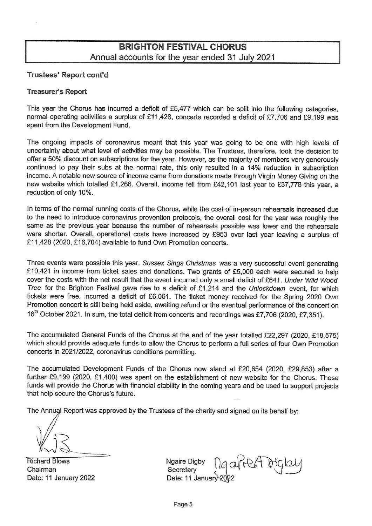#### Trustees' Report cont'd

#### **Treasurer's Report**

This year the Chorus has incurred a deficit of £5,477 which can be split into the following categories. normal operating activities a surplus of £11,428, concerts recorded a deficit of £7,706 and £9,199 was spent from the Development Fund.

The ongoing impacts of coronavirus meant that this year was going to be one with high levels of uncertainty about what level of activities may be possible. The Trustees, therefore, took the decision to offer a 50% discount on subscriptions for the year. However, as the majority of members very generously continued to pay their subs at the normal rate, this only resulted in a 14% reduction in subscription income. A notable new source of income came from donations made through Virgin Money Giving on the new website which totalled £1,266. Overall, income fell from £42,101 last year to £37,778 this year, a reduction of only 10%.

In terms of the normal running costs of the Chorus, while the cost of in-person rehearsals increased due to the need to introduce coronavirus prevention protocols, the overall cost for the year was roughly the same as the previous year because the number of rehearsals possible was lower and the rehearsals were shorter. Overall, operational costs have increased by £953 over last year leaving a surplus of £11,428 (2020, £16,704) available to fund Own Promotion concerts.

Three events were possible this year. Sussex Sings Christmas was a very successful event generating £10,421 in income from ticket sales and donations. Two grants of £5,000 each were secured to help cover the costs with the net result that the event incurred only a small deficit of £641. Under Wild Wood Tree for the Brighton Festival gave rise to a deficit of £1,214 and the Unlockdown event, for which tickets were free, incurred a deficit of £6,061. The ticket money received for the Spring 2020 Own Promotion concert is still being held aside, awaiting refund or the eventual performance of the concert on 16<sup>th</sup> October 2021. In sum, the total deficit from concerts and recordings was £7,706 (2020, £7,351).

The accumulated General Funds of the Chorus at the end of the year totalled £22,297 (2020, £18,575) which should provide adequate funds to allow the Chorus to perform a full series of four Own Promotion concerts in 2021/2022, coronavirus conditions permitting.

The accumulated Development Funds of the Chorus now stand at £20,654 (2020, £29,853) after a further £9,199 (2020, £1,400) was spent on the establishment of new website for the Chorus. These funds will provide the Chorus with financial stability in the coming years and be used to support projects that help secure the Chorus's future.

The Annual Report was approved by the Trustees of the charity and signed on its behalf by:

**Richard Blows** Chairman Date: 11 January 2022

Ngaire Digby Secretary Date: 11 January

Heat bic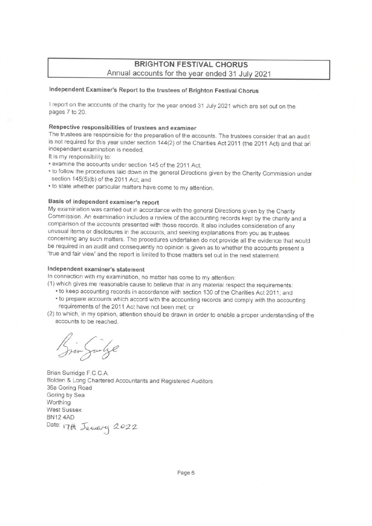#### Independent Examiner's Report to the trustees of Brighton Festival Chorus

I report on the accounts of the charity for the year ended 31 July 2021 which are set out on the pages 7 to 20.

#### Respective responsibilities of trustees and examiner

The trustees are responsible for the preparation of the accounts. The trustees consider that an audit is not required for this year under section 144(2) of the Charities Act 2011 (the 2011 Act) and that an independent examination is needed.

- It is my responsibility to:
- \* examine the accounts under section 145 of the 2011 Act;
- to follow the procedures laid down in the general Directions given by the Charity Commission under section 145(5)(b) of the 2011 Act; and
- to state whether particular matters have come to my attention.

#### Basis of independent examiner's report

My examination was carried out in accordance with the general Directions given by the Charity Commission. An examination includes a review of the accounting records kept by the charity and a comparison of the accounts presented with those records. It also includes consideration of any unusual items or disclosures in the accounts, and seeking explanations from you as trustees concerning any such matters. The procedures undertaken do not provide all the evidence that would be required in an audit and consequently no opinion is given as to whether the accounts present a 'true and fair view' and the report is limited to those matters set out in the next statement.

#### Independent examiner's statement

In connection with my examination, no matter has come to my attention:

- (1) which gives me reasonable cause to believe that in any material respect the requirements:
	- to keep accounting records in accordance with section 130 of the Charities Act 2011; and • to prepare accounts which accord with the accounting records and comply with the accounting
	- requirements of the 2011 Act have not been met; or
- (2) to which, in my opinion, attention should be drawn in order to enable a proper understanding of the accounts to be reached.

im Surlice

Brian Surridge F.C.C.A. Bolden & Long Chartered Accountants and Registered Auditors 36a Goring Road Goring by Sea Worthing **West Sussex BN12 4AD** Date: 17th January 2022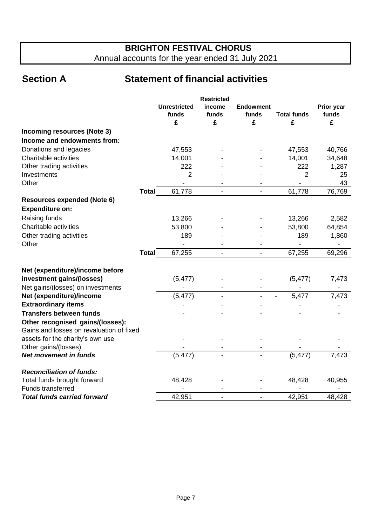## **Section A Statement of financial activities**

|                                          | <b>Restricted</b> |                     |                              |                  |                    |            |  |
|------------------------------------------|-------------------|---------------------|------------------------------|------------------|--------------------|------------|--|
|                                          |                   | <b>Unrestricted</b> | income                       | <b>Endowment</b> |                    | Prior year |  |
|                                          |                   | funds               | funds                        | funds            | <b>Total funds</b> | funds      |  |
|                                          |                   | £                   | £                            | £                | £                  | £          |  |
| Incoming resources (Note 3)              |                   |                     |                              |                  |                    |            |  |
| Income and endowments from:              |                   |                     |                              |                  |                    |            |  |
| Donations and legacies                   |                   | 47,553              |                              |                  | 47,553             | 40,766     |  |
| Charitable activities                    |                   | 14,001              |                              |                  | 14,001             | 34,648     |  |
| Other trading activities                 |                   | 222                 |                              |                  | 222                | 1,287      |  |
| Investments                              |                   | $\overline{2}$      |                              |                  | $\overline{2}$     | 25         |  |
| Other                                    |                   |                     |                              |                  |                    | 43         |  |
|                                          | <b>Total</b>      | 61,778              | $\blacksquare$               | $\blacksquare$   | 61,778             | 76,769     |  |
| <b>Resources expended (Note 6)</b>       |                   |                     |                              |                  |                    |            |  |
| <b>Expenditure on:</b>                   |                   |                     |                              |                  |                    |            |  |
| Raising funds                            |                   | 13,266              |                              |                  | 13,266             | 2,582      |  |
| Charitable activities                    |                   | 53,800              |                              |                  | 53,800             | 64,854     |  |
| Other trading activities                 |                   | 189                 |                              |                  | 189                | 1,860      |  |
| Other                                    |                   |                     |                              | $\blacksquare$   |                    |            |  |
|                                          | <b>Total</b>      | 67,255              | $\qquad \qquad \blacksquare$ | $\blacksquare$   | 67,255             | 69,296     |  |
| Net (expenditure)/income before          |                   |                     |                              |                  |                    |            |  |
| investment gains/(losses)                |                   | (5, 477)            |                              |                  | (5, 477)           | 7,473      |  |
| Net gains/(losses) on investments        |                   |                     |                              |                  |                    |            |  |
| Net (expenditure)/income                 |                   | (5, 477)            |                              |                  | 5,477              | 7,473      |  |
| <b>Extraordinary items</b>               |                   |                     |                              |                  |                    |            |  |
| <b>Transfers between funds</b>           |                   |                     |                              |                  |                    |            |  |
| Other recognised gains/(losses):         |                   |                     |                              |                  |                    |            |  |
| Gains and losses on revaluation of fixed |                   |                     |                              |                  |                    |            |  |
| assets for the charity's own use         |                   |                     |                              |                  |                    |            |  |
| Other gains/(losses)                     |                   |                     |                              |                  |                    |            |  |
| <b>Net movement in funds</b>             |                   | (5, 477)            | $\overline{\phantom{a}}$     |                  | (5, 477)           | 7,473      |  |
| <b>Reconciliation of funds:</b>          |                   |                     |                              |                  |                    |            |  |
| Total funds brought forward              |                   | 48,428              |                              |                  | 48,428             | 40,955     |  |
| <b>Funds transferred</b>                 |                   |                     |                              |                  |                    |            |  |
| <b>Total funds carried forward</b>       |                   | 42,951              | $\overline{a}$               | $\overline{a}$   | 42,951             | 48,428     |  |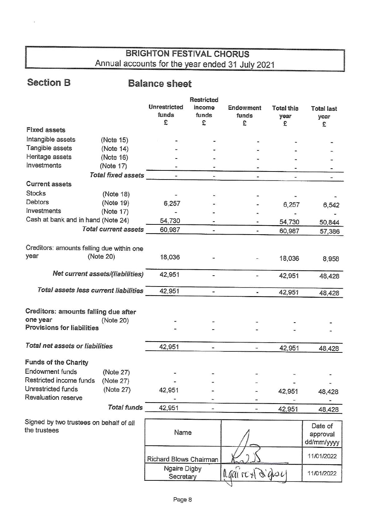## **Section B**

## **Balance sheet**

|                                           |                                  |                              | Restricted      |                              |                           |                              |
|-------------------------------------------|----------------------------------|------------------------------|-----------------|------------------------------|---------------------------|------------------------------|
|                                           |                                  | <b>Unrestricted</b><br>funds | income<br>funds | Endowment<br>funds           | <b>Total this</b><br>year | <b>Total last</b><br>year    |
| <b>Fixed assets</b>                       |                                  | £                            | £               | £                            | £                         | £                            |
| Intangible assets                         | (Note 15)                        |                              |                 |                              |                           |                              |
| Tangible assets                           | (Note 14)                        |                              |                 |                              |                           |                              |
| Heritage assets                           | (Note 16)                        |                              |                 |                              |                           |                              |
| Investments                               | (Note 17)                        |                              |                 |                              |                           |                              |
|                                           | <b>Total fixed assets</b>        |                              | i.              | $\qquad \qquad \blacksquare$ |                           | $\qquad \qquad \blacksquare$ |
| <b>Current assets</b>                     |                                  |                              |                 |                              |                           |                              |
| <b>Stocks</b>                             | (Note 18)                        |                              |                 |                              |                           |                              |
| Debtors                                   | (Note 19)                        | 6,257                        |                 |                              | 6,257                     | 6,542                        |
| Investments                               | (Note 17)                        |                              |                 |                              |                           |                              |
| Cash at bank and in hand (Note 24)        |                                  | 54,730                       |                 |                              | 54,730                    | 50,844                       |
|                                           | <b>Total current assets</b>      | 60,987                       | -               |                              | 60,987                    | 57,386                       |
|                                           |                                  |                              |                 |                              |                           |                              |
| Creditors: amounts falling due within one |                                  |                              |                 |                              |                           |                              |
| year                                      | (Note 20)                        | 18,036                       |                 |                              | 18,036                    | 8,958                        |
|                                           |                                  |                              |                 |                              |                           |                              |
|                                           | Net current assets/(liabilities) | 42,951<br>-                  |                 |                              | 42,951                    | 48,428                       |
|                                           |                                  |                              |                 |                              |                           |                              |
| Total assets less current liabilities     |                                  | 42,951                       | í.              |                              | 42,951                    | 48,428                       |
|                                           |                                  |                              |                 |                              |                           |                              |
| Creditors: amounts falling due after      |                                  |                              |                 |                              |                           |                              |
| one year                                  | (Note 20)                        |                              |                 |                              |                           |                              |
| <b>Provisions for liabilities</b>         |                                  |                              |                 |                              |                           |                              |
|                                           |                                  |                              |                 |                              |                           |                              |
| Total net assets or liabilities           |                                  | 42,951                       |                 | $\overline{\phantom{a}}$     | 42,951                    | 48,428                       |
|                                           |                                  |                              |                 |                              |                           |                              |
| <b>Funds of the Charity</b>               |                                  |                              |                 |                              |                           |                              |
| Endowment funds                           | (Note 27)                        |                              |                 |                              |                           |                              |
| Restricted income funds                   | (Note 27)                        |                              |                 |                              |                           |                              |
| Unrestricted funds                        | (Note 27)                        | 42,951                       |                 |                              | 42,951                    | 48,428                       |
| Revaluation reserve                       |                                  |                              |                 |                              |                           |                              |
|                                           | <b>Total funds</b>               | 42,951                       |                 |                              | 42,951                    | 48,428                       |
| Signed by two trustees on behalf of all   |                                  |                              |                 |                              |                           |                              |
| the trustees                              |                                  |                              |                 |                              |                           | Date of                      |
|                                           |                                  | Name                         |                 |                              |                           | approval                     |
|                                           |                                  |                              |                 |                              |                           | dd/mm/yyyy                   |
|                                           |                                  |                              |                 |                              |                           | 11/01/2022                   |
|                                           |                                  | Richard Blows Chairman       |                 |                              |                           |                              |
|                                           |                                  | Ngaire Digby                 |                 | Mairer d'asu                 |                           | 11/01/2022                   |
|                                           |                                  | Secretary                    |                 |                              |                           |                              |
|                                           |                                  |                              |                 |                              |                           |                              |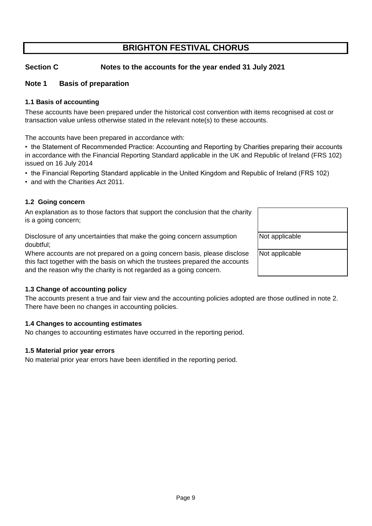#### **Section C Notes to the accounts for the year ended 31 July 2021**

#### **Note 1 Basis of preparation**

#### **1.1 Basis of accounting**

These accounts have been prepared under the historical cost convention with items recognised at cost or transaction value unless otherwise stated in the relevant note(s) to these accounts.

The accounts have been prepared in accordance with:

• the Statement of Recommended Practice: Accounting and Reporting by Charities preparing their accounts in accordance with the Financial Reporting Standard applicable in the UK and Republic of Ireland (FRS 102) issued on 16 July 2014

• the Financial Reporting Standard applicable in the United Kingdom and Republic of Ireland (FRS 102)

and with the Charities Act 2011.

#### **1.2 Going concern**

An explanation as to those factors that support the conclusion that the charity is a going concern;

Disclosure of any uncertainties that make the going concern assumption doubtful;

Where accounts are not prepared on a going concern basis, please disclose this fact together with the basis on which the trustees prepared the accounts and the reason why the charity is not regarded as a going concern.

# Not applicable Not applicable

#### **1.3 Change of accounting policy**

The accounts present a true and fair view and the accounting policies adopted are those outlined in note 2. There have been no changes in accounting policies.

#### **1.4 Changes to accounting estimates**

No changes to accounting estimates have occurred in the reporting period.

#### **1.5 Material prior year errors**

No material prior year errors have been identified in the reporting period.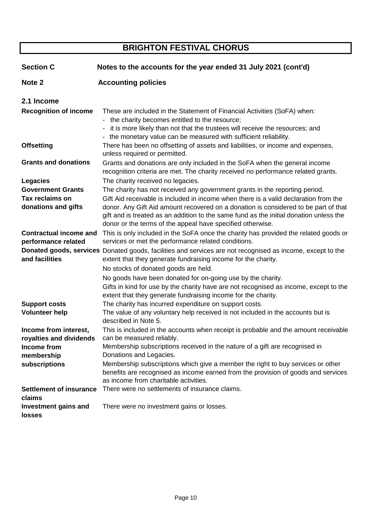| <b>Section C</b>                              | Notes to the accounts for the year ended 31 July 2021 (cont'd)                                                                                                                                                                                                                           |
|-----------------------------------------------|------------------------------------------------------------------------------------------------------------------------------------------------------------------------------------------------------------------------------------------------------------------------------------------|
| Note 2                                        | <b>Accounting policies</b>                                                                                                                                                                                                                                                               |
| 2.1 Income                                    |                                                                                                                                                                                                                                                                                          |
| <b>Recognition of income</b>                  | These are included in the Statement of Financial Activities (SoFA) when:<br>the charity becomes entitled to the resource;<br>$\sim$<br>it is more likely than not that the trustees will receive the resources; and<br>- the monetary value can be measured with sufficient reliability. |
| <b>Offsetting</b>                             | There has been no offsetting of assets and liabilities, or income and expenses,<br>unless required or permitted.                                                                                                                                                                         |
| <b>Grants and donations</b>                   | Grants and donations are only included in the SoFA when the general income<br>recognition criteria are met. The charity received no performance related grants.                                                                                                                          |
| Legacies                                      | The charity received no legacies.                                                                                                                                                                                                                                                        |
| <b>Government Grants</b>                      | The charity has not received any government grants in the reporting period.                                                                                                                                                                                                              |
| Tax reclaims on                               | Gift Aid receivable is included in income when there is a valid declaration from the                                                                                                                                                                                                     |
| donations and gifts                           | donor. Any Gift Aid amount recovered on a donation is considered to be part of that<br>gift and is treated as an addition to the same fund as the initial donation unless the<br>donor or the terms of the appeal have specified otherwise.                                              |
| <b>Contractual income and</b>                 | This is only included in the SoFA once the charity has provided the related goods or                                                                                                                                                                                                     |
| performance related                           | services or met the performance related conditions.                                                                                                                                                                                                                                      |
| and facilities                                | Donated goods, services Donated goods, facilities and services are not recognised as income, except to the<br>extent that they generate fundraising income for the charity.                                                                                                              |
|                                               | No stocks of donated goods are held.                                                                                                                                                                                                                                                     |
|                                               | No goods have been donated for on-going use by the charity.                                                                                                                                                                                                                              |
|                                               | Gifts in kind for use by the charity have are not recognised as income, except to the<br>extent that they generate fundraising income for the charity.                                                                                                                                   |
| <b>Support costs</b><br><b>Volunteer help</b> | The charity has incurred expenditure on support costs.<br>The value of any voluntary help received is not included in the accounts but is<br>described in Note 5.                                                                                                                        |
| Income from interest,                         | This is included in the accounts when receipt is probable and the amount receivable                                                                                                                                                                                                      |
| royalties and dividends                       | can be measured reliably.                                                                                                                                                                                                                                                                |
| Income from                                   | Membership subscriptions received in the nature of a gift are recognised in                                                                                                                                                                                                              |
| membership                                    | Donations and Legacies.                                                                                                                                                                                                                                                                  |
| subscriptions                                 | Membership subscriptions which give a member the right to buy services or other<br>benefits are recognised as income earned from the provision of goods and services<br>as income from charitable activities.                                                                            |
| <b>Settlement of insurance</b>                | There were no settlements of insurance claims.                                                                                                                                                                                                                                           |
| claims                                        |                                                                                                                                                                                                                                                                                          |
| <b>Investment gains and</b><br>losses         | There were no investment gains or losses.                                                                                                                                                                                                                                                |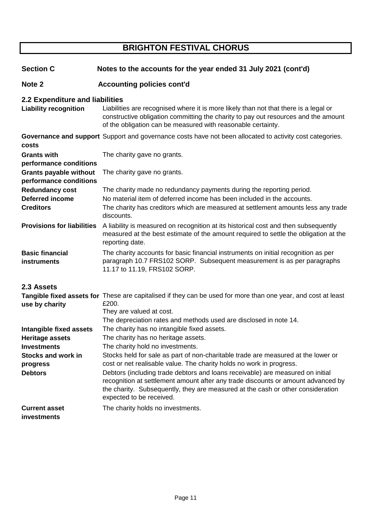| <b>Section C</b>                                                        | Notes to the accounts for the year ended 31 July 2021 (cont'd)                                                                                                                                                                                                                                                                                                                                                     |
|-------------------------------------------------------------------------|--------------------------------------------------------------------------------------------------------------------------------------------------------------------------------------------------------------------------------------------------------------------------------------------------------------------------------------------------------------------------------------------------------------------|
| Note <sub>2</sub>                                                       | <b>Accounting policies cont'd</b>                                                                                                                                                                                                                                                                                                                                                                                  |
| 2.2 Expenditure and liabilities<br><b>Liability recognition</b>         | Liabilities are recognised where it is more likely than not that there is a legal or<br>constructive obligation committing the charity to pay out resources and the amount<br>of the obligation can be measured with reasonable certainty.                                                                                                                                                                         |
| costs                                                                   | Governance and support Support and governance costs have not been allocated to activity cost categories.                                                                                                                                                                                                                                                                                                           |
| <b>Grants with</b><br>performance conditions                            | The charity gave no grants.                                                                                                                                                                                                                                                                                                                                                                                        |
| <b>Grants payable without</b><br>performance conditions                 | The charity gave no grants.                                                                                                                                                                                                                                                                                                                                                                                        |
| <b>Redundancy cost</b><br><b>Deferred income</b><br><b>Creditors</b>    | The charity made no redundancy payments during the reporting period.<br>No material item of deferred income has been included in the accounts.<br>The charity has creditors which are measured at settlement amounts less any trade<br>discounts.                                                                                                                                                                  |
| <b>Provisions for liabilities</b>                                       | A liability is measured on recognition at its historical cost and then subsequently<br>measured at the best estimate of the amount required to settle the obligation at the<br>reporting date.                                                                                                                                                                                                                     |
| <b>Basic financial</b><br>instruments                                   | The charity accounts for basic financial instruments on initial recognition as per<br>paragraph 10.7 FRS102 SORP. Subsequent measurement is as per paragraphs<br>11.17 to 11.19, FRS102 SORP.                                                                                                                                                                                                                      |
| 2.3 Assets<br>use by charity                                            | Tangible fixed assets for These are capitalised if they can be used for more than one year, and cost at least<br>£200.<br>They are valued at cost.<br>The depreciation rates and methods used are disclosed in note 14.                                                                                                                                                                                            |
| Intangible fixed assets<br><b>Heritage assets</b><br><b>Investments</b> | The charity has no intangible fixed assets.<br>The charity has no heritage assets.<br>The charity hold no investments.                                                                                                                                                                                                                                                                                             |
| <b>Stocks and work in</b><br>progress<br><b>Debtors</b>                 | Stocks held for sale as part of non-charitable trade are measured at the lower or<br>cost or net realisable value. The charity holds no work in progress.<br>Debtors (including trade debtors and loans receivable) are measured on initial<br>recognition at settlement amount after any trade discounts or amount advanced by<br>the charity. Subsequently, they are measured at the cash or other consideration |
| <b>Current asset</b><br>investments                                     | expected to be received.<br>The charity holds no investments.                                                                                                                                                                                                                                                                                                                                                      |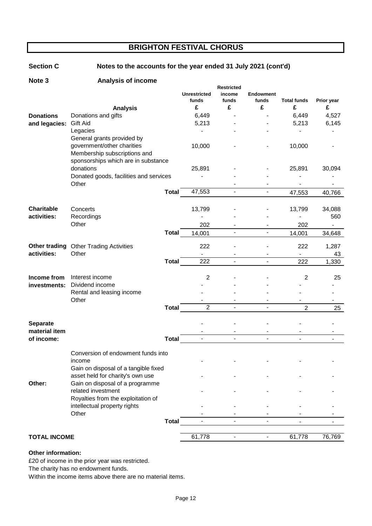#### Section C Notes to the accounts for the year ended 31 July 2021 (cont'd)

#### **Note 3 Analysis of income**

|                     |                                        |              | <b>Unrestricted</b><br>funds | <b>Restricted</b><br>income<br>funds | <b>Endowment</b><br>funds | <b>Total funds</b>       | Prior year               |
|---------------------|----------------------------------------|--------------|------------------------------|--------------------------------------|---------------------------|--------------------------|--------------------------|
|                     | <b>Analysis</b>                        |              | £                            | £                                    | £                         | £                        | £                        |
| <b>Donations</b>    | Donations and gifts                    |              | 6,449                        |                                      |                           | 6,449                    | 4,527                    |
| and legacies:       | Gift Aid                               |              | 5,213                        |                                      |                           | 5,213                    | 6,145                    |
|                     | Legacies                               |              |                              |                                      |                           |                          |                          |
|                     | General grants provided by             |              |                              |                                      |                           |                          |                          |
|                     | government/other charities             |              | 10,000                       |                                      |                           | 10,000                   |                          |
|                     | Membership subscriptions and           |              |                              |                                      |                           |                          |                          |
|                     | sponsorships which are in substance    |              |                              |                                      |                           |                          |                          |
|                     | donations                              |              | 25,891                       |                                      |                           | 25,891                   | 30,094                   |
|                     | Donated goods, facilities and services |              |                              |                                      |                           |                          |                          |
|                     | Other                                  |              |                              |                                      |                           |                          |                          |
|                     |                                        | <b>Total</b> | 47,553                       | $\blacksquare$                       | $\overline{\phantom{a}}$  | 47,553                   | 40,766                   |
|                     |                                        |              |                              |                                      |                           |                          |                          |
| <b>Charitable</b>   | Concerts                               |              | 13,799                       |                                      |                           | 13,799                   | 34,088                   |
| activities:         | Recordings                             |              |                              |                                      |                           |                          | 560                      |
|                     | Other                                  |              | 202                          |                                      |                           | 202                      | $\blacksquare$           |
|                     |                                        | <b>Total</b> | 14,001                       | $\overline{\phantom{a}}$             | $\overline{a}$            | 14,001                   | 34,648                   |
|                     |                                        |              |                              |                                      |                           |                          |                          |
|                     | Other trading Other Trading Activities |              | 222                          |                                      |                           | 222                      | 1,287                    |
| activities:         | Other                                  |              | 222                          |                                      |                           | $\overline{\phantom{a}}$ | 43                       |
|                     |                                        | <b>Total</b> |                              | $\overline{\phantom{a}}$             | $\overline{\phantom{a}}$  | 222                      | 1,330                    |
| Income from         | Interest income                        |              | $\overline{2}$               |                                      |                           | $\overline{2}$           | 25                       |
| investments:        | Dividend income                        |              |                              |                                      |                           |                          |                          |
|                     | Rental and leasing income              |              |                              |                                      |                           |                          |                          |
|                     | Other                                  |              |                              |                                      |                           |                          |                          |
|                     |                                        | <b>Total</b> | $\overline{2}$               |                                      | $\overline{a}$            | $\overline{2}$           | 25                       |
|                     |                                        |              |                              |                                      |                           |                          |                          |
| <b>Separate</b>     |                                        |              |                              |                                      |                           |                          |                          |
| material item       |                                        |              |                              |                                      |                           |                          |                          |
| of income:          |                                        | <b>Total</b> | $\blacksquare$               | $\overline{\phantom{a}}$             | $\blacksquare$            | $\overline{\phantom{a}}$ | $\overline{\phantom{a}}$ |
|                     |                                        |              |                              |                                      |                           |                          |                          |
|                     | Conversion of endowment funds into     |              |                              |                                      |                           |                          |                          |
|                     | income                                 |              |                              |                                      |                           |                          |                          |
|                     | Gain on disposal of a tangible fixed   |              |                              |                                      |                           |                          |                          |
|                     | asset held for charity's own use       |              |                              |                                      |                           |                          |                          |
| Other:              | Gain on disposal of a programme        |              |                              |                                      |                           |                          |                          |
|                     | related investment                     |              |                              |                                      |                           |                          |                          |
|                     | Royalties from the exploitation of     |              |                              |                                      |                           |                          |                          |
|                     | intellectual property rights           |              |                              |                                      |                           |                          |                          |
|                     | Other                                  |              |                              |                                      |                           |                          |                          |
|                     |                                        | <b>Total</b> |                              |                                      |                           |                          |                          |
| <b>TOTAL INCOME</b> |                                        |              | 61,778                       | $\overline{\phantom{a}}$             | $\blacksquare$            | 61,778                   | 76,769                   |
|                     |                                        |              |                              |                                      |                           |                          |                          |

#### **Other information:**

£20 of income in the prior year was restricted.

The charity has no endowment funds.

Within the income items above there are no material items.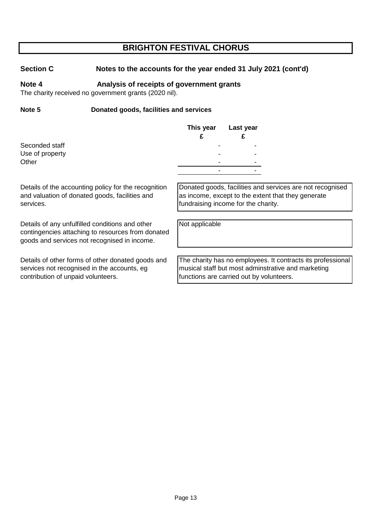#### Section C Notes to the accounts for the year ended 31 July 2021 (cont'd)

#### **Note 4 Analysis of receipts of government grants**

The charity received no government grants (2020 nil).

services.

#### **Note 5 Donated goods, facilities and services**

|                 | This year | Last year                     |  |
|-----------------|-----------|-------------------------------|--|
| Seconded staff  |           | -                             |  |
| Use of property |           |                               |  |
| Other           |           | $\overline{\phantom{0}}$<br>- |  |
|                 |           | $\overline{\phantom{0}}$      |  |
|                 |           |                               |  |

Donated goods, facilities and services are not recognised as income, except to the extent that they generate fundraising income for the charity.

Details of any unfulfilled conditions and other contingencies attaching to resources from donated goods and services not recognised in income.

Details of the accounting policy for the recognition and valuation of donated goods, facilities and

Details of other forms of other donated goods and services not recognised in the accounts, eg contribution of unpaid volunteers.

Not applicable

The charity has no employees. It contracts its professional musical staff but most adminstrative and marketing functions are carried out by volunteers.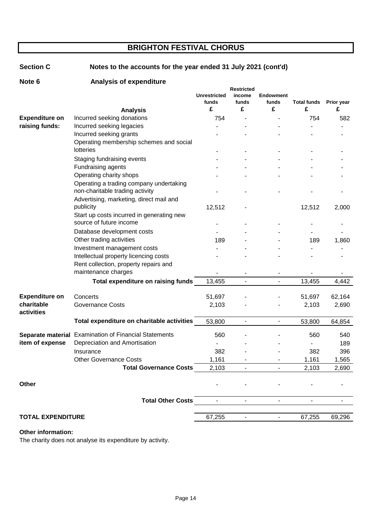| <b>Section C</b>         | Notes to the accounts for the year ended 31 July 2021 (cont'd) |                              |                                      |                           |                    |                              |
|--------------------------|----------------------------------------------------------------|------------------------------|--------------------------------------|---------------------------|--------------------|------------------------------|
| Note 6                   | <b>Analysis of expenditure</b>                                 |                              |                                      |                           |                    |                              |
|                          |                                                                | <b>Unrestricted</b><br>funds | <b>Restricted</b><br>income<br>funds | <b>Endowment</b><br>funds | <b>Total funds</b> | <b>Prior year</b>            |
|                          | <b>Analysis</b>                                                | £                            | £                                    | £                         | £                  | £                            |
| <b>Expenditure on</b>    | Incurred seeking donations                                     | 754                          |                                      |                           | 754                | 582                          |
| raising funds:           | Incurred seeking legacies                                      |                              |                                      |                           |                    |                              |
|                          | Incurred seeking grants                                        |                              |                                      |                           |                    |                              |
|                          | Operating membership schemes and social<br><b>lotteries</b>    |                              |                                      |                           |                    |                              |
|                          | Staging fundraising events                                     |                              |                                      |                           |                    |                              |
|                          | Fundraising agents                                             |                              |                                      |                           |                    |                              |
|                          | Operating charity shops                                        |                              |                                      |                           |                    |                              |
|                          | Operating a trading company undertaking                        |                              |                                      |                           |                    |                              |
|                          | non-charitable trading activity                                |                              |                                      |                           |                    |                              |
|                          | Advertising, marketing, direct mail and                        |                              |                                      |                           |                    |                              |
|                          | publicity                                                      | 12,512                       |                                      |                           | 12,512             | 2,000                        |
|                          | Start up costs incurred in generating new                      |                              |                                      |                           |                    |                              |
|                          | source of future income                                        |                              |                                      |                           |                    |                              |
|                          | Database development costs                                     |                              |                                      |                           |                    |                              |
|                          | Other trading activities                                       | 189                          |                                      |                           | 189                | 1,860                        |
|                          | Investment management costs                                    |                              |                                      |                           |                    |                              |
|                          | Intellectual property licencing costs                          |                              |                                      |                           |                    |                              |
|                          | Rent collection, property repairs and<br>maintenance charges   |                              |                                      |                           |                    |                              |
|                          | <b>Total expenditure on raising funds</b>                      | 13,455                       | $\overline{\phantom{a}}$             | $\overline{\phantom{a}}$  | 13,455             | 4,442                        |
|                          |                                                                |                              |                                      |                           |                    |                              |
| <b>Expenditure on</b>    | Concerts                                                       | 51,697                       |                                      |                           | 51,697             | 62,164                       |
| charitable<br>activities | <b>Governance Costs</b>                                        | 2,103                        |                                      |                           | 2,103              | 2,690                        |
|                          | Total expenditure on charitable activities                     | 53,800                       | $\overline{\phantom{a}}$             | $\overline{\phantom{a}}$  | 53,800             | 64,854                       |
|                          | <b>Separate material</b> Examination of Financial Statements   | 560                          |                                      |                           | 560                | 540                          |
|                          | item of expense  Depreciation and Amortisation                 |                              |                                      |                           |                    | 189                          |
|                          | Insurance                                                      | 382                          |                                      |                           | 382                | 396                          |
|                          | <b>Other Governance Costs</b>                                  | 1,161                        |                                      |                           | 1,161              | 1,565                        |
|                          | <b>Total Governance Costs</b>                                  | 2,103                        | $\mathbf{r}$                         |                           | 2,103              | 2,690                        |
|                          |                                                                |                              |                                      |                           |                    |                              |
| Other                    |                                                                |                              |                                      |                           |                    |                              |
|                          | <b>Total Other Costs</b>                                       | $\blacksquare$               | $\blacksquare$                       | $\overline{\phantom{a}}$  | $\blacksquare$     | $\qquad \qquad \blacksquare$ |
|                          |                                                                |                              |                                      |                           |                    |                              |
| <b>TOTAL EXPENDITURE</b> |                                                                | 67,255                       |                                      |                           | 67,255             | 69,296                       |

#### **Other information:**

The charity does not analyse its expenditure by activity.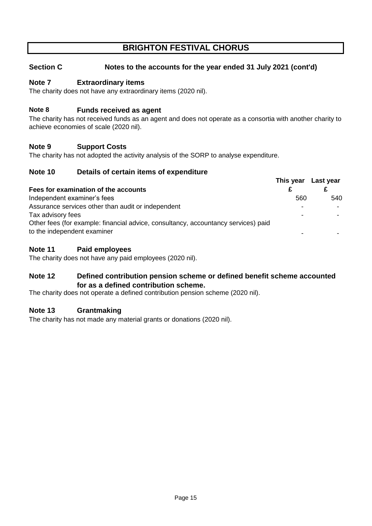#### Section C Notes to the accounts for the year ended 31 July 2021 (cont'd)

#### **Note 7 Extraordinary items**

The charity does not have any extraordinary items (2020 nil).

#### **Note 8 Funds received as agent**

The charity has not received funds as an agent and does not operate as a consortia with another charity to achieve economies of scale (2020 nil).

#### **Note 9 Support Costs**

The charity has not adopted the activity analysis of the SORP to analyse expenditure.

#### **Note 10 Details of certain items of expenditure**

|                                                                                    | This year | Last year |
|------------------------------------------------------------------------------------|-----------|-----------|
| Fees for examination of the accounts                                               |           |           |
| Independent examiner's fees                                                        | 560       | 540       |
| Assurance services other than audit or independent                                 |           |           |
| Tax advisory fees                                                                  |           |           |
| Other fees (for example: financial advice, consultancy, accountancy services) paid |           |           |
| to the independent examiner                                                        |           |           |

#### **Note 11 Paid employees**

The charity does not have any paid employees (2020 nil).

#### **Note 12 Defined contribution pension scheme or defined benefit scheme accounted for as a defined contribution scheme.**

The charity does not operate a defined contribution pension scheme (2020 nil).

#### **Note 13 Grantmaking**

The charity has not made any material grants or donations (2020 nil).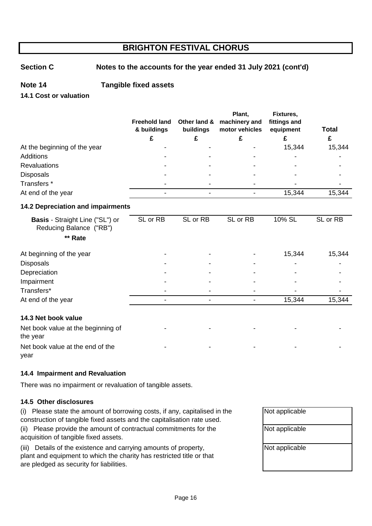Section C Notes to the accounts for the year ended 31 July 2021 (cont'd)

#### **Note 14 Tangible fixed assets**

**14.1 Cost or valuation**

|                              | <b>Freehold land</b><br>& buildings | Other land &<br>buildings | Plant,<br>machinery and<br>motor vehicles | Fixtures,<br>fittings and<br>equipment | Total<br>£ |
|------------------------------|-------------------------------------|---------------------------|-------------------------------------------|----------------------------------------|------------|
| At the beginning of the year |                                     |                           |                                           | 15,344                                 | 15,344     |
| Additions                    |                                     |                           |                                           |                                        |            |
| <b>Revaluations</b>          |                                     |                           |                                           |                                        |            |
| <b>Disposals</b>             |                                     |                           |                                           |                                        |            |
| Transfers <sup>*</sup>       |                                     |                           |                                           |                                        |            |
| At end of the year           |                                     |                           |                                           | 15,344                                 | 15,344     |
| $\blacksquare$               |                                     |                           |                                           |                                        |            |

#### **14.2 Depreciation and impairments**

| <b>Basis</b> - Straight Line ("SL") or<br>Reducing Balance ("RB")<br>** Rate | SL or RB | SL or RB | SL or RB | 10% SL | SL or RB |
|------------------------------------------------------------------------------|----------|----------|----------|--------|----------|
| At beginning of the year                                                     |          |          |          | 15,344 | 15,344   |
| Disposals                                                                    |          |          |          |        |          |
| Depreciation                                                                 |          |          |          |        |          |
| Impairment                                                                   |          |          |          |        |          |
| Transfers*                                                                   |          |          |          |        |          |
| At end of the year                                                           |          |          |          | 15,344 | 15,344   |

#### **14.3 Net book value**

| Net book value at the beginning of<br>the year | $\overline{\phantom{0}}$ | - |  |
|------------------------------------------------|--------------------------|---|--|
| Net book value at the end of the               | $\overline{\phantom{0}}$ |   |  |
| year                                           |                          |   |  |

#### **14.4 Impairment and Revaluation**

There was no impairment or revaluation of tangible assets.

#### **14.5 Other disclosures**

(i) Please state the amount of borrowing costs, if any, capitalised in the construction of tangible fixed assets and the capitalisation rate used.

(ii) Please provide the amount of contractual commitments for the acquisition of tangible fixed assets.

(iii) Details of the existence and carrying amounts of property, plant and equipment to which the charity has restricted title or that are pledged as security for liabilities.

| Not applicable |
|----------------|
|                |
|                |
| Not applicable |
|                |
|                |
| Not applicable |
|                |
|                |
|                |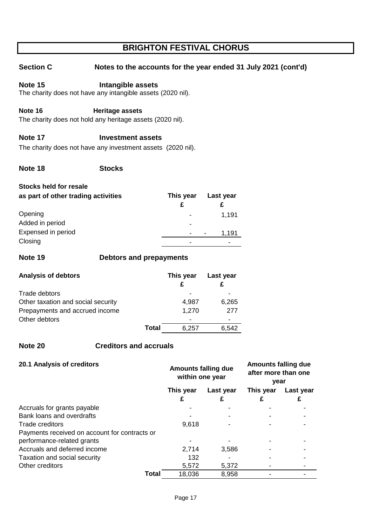### Section C Notes to the accounts for the year ended 31 July 2021 (cont'd)

#### **Note 15 Intangible assets**

The charity does not have any intangible assets (2020 nil).

#### **Note 16 Heritage assets**

The charity does not hold any heritage assets (2020 nil).

#### **Note 17 Investment assets**

The charity does not have any investment assets (2020 nil).

#### **Note 18 Stocks**

#### **Stocks held for resale as part of other trading activities This year Last year £ £** Opening and the contract of the contract of the contract of the contract of the contract of the contract of the contract of the contract of the contract of the contract of the contract of the contract of the contract of th Added in period and the state of the state of the state of the state of the state of the state of the state of the state of the state of the state of the state of the state of the state of the state of the state of the sta Expensed in period and the set of the set of the set of the set of the set of the set of the set of the set of the set of the set of the set of the set of the set of the set of the set of the set of the set of the set of t Closing the contract of the contract of the contract of the contract of the contract of the contract of the contract of the contract of the contract of the contract of the contract of the contract of the contract of the co

#### **Note 19 Debtors and prepayments**

| <b>Analysis of debtors</b>         |       | This year                | Last year                |
|------------------------------------|-------|--------------------------|--------------------------|
| Trade debtors                      |       |                          |                          |
| Other taxation and social security |       | 4,987                    | 6,265                    |
| Prepayments and accrued income     |       | 1,270                    | 277                      |
| Other debtors                      |       | $\overline{\phantom{0}}$ | $\overline{\phantom{0}}$ |
|                                    | Total | 6,257                    | 6.542                    |

#### **Note 20 Creditors and accruals**

| 20.1 Analysis of creditors |  |
|----------------------------|--|
|                            |  |

| 20. 1 Andry 919 Or 91 Gallon 9                | <b>Amounts falling due</b><br>within one year |           | $F11991110$ . $F111119$ and<br>after more than one<br>year |           |
|-----------------------------------------------|-----------------------------------------------|-----------|------------------------------------------------------------|-----------|
|                                               | This year                                     | Last year | This year                                                  | Last year |
| Accruals for grants payable                   |                                               |           |                                                            |           |
| Bank loans and overdrafts                     |                                               |           |                                                            |           |
| Trade creditors                               | 9,618                                         |           |                                                            |           |
| Payments received on account for contracts or |                                               |           |                                                            |           |
| performance-related grants                    |                                               |           |                                                            |           |
| Accruals and deferred income                  | 2,714                                         | 3,586     |                                                            |           |
| Taxation and social security                  | 132                                           |           |                                                            |           |
| Other creditors                               | 5,572                                         | 5,372     |                                                            |           |
| <b>Total</b>                                  | 18,036                                        | 8,958     |                                                            |           |

**Amounts falling due**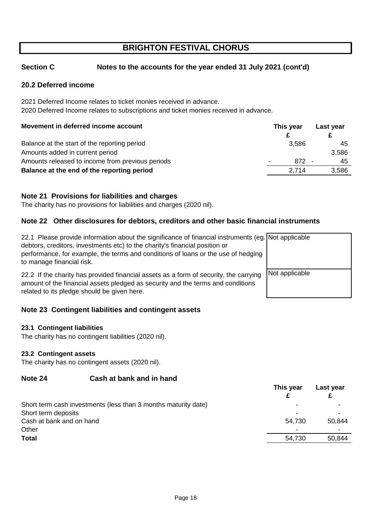**£ £**

2,714 3,586

#### Section C Notes to the accounts for the year ended 31 July 2021 (cont'd)

#### **20.2 Deferred income**

2020 Deferred Income relates to subscriptions and ticket monies received in advance. 2021 Deferred Income relates to ticket monies received in advance.

#### **Movement in deferred income account This year Last year Last year**

Balance at the start of the reporting period 3,586 45 Amounts added in current period 3,586 Amounts released to income from previous periods and the state of the state of the state and the 45 **Balance at the end of the reporting period**

#### **Note 21 Provisions for liabilities and charges**

The charity has no provisions for liabilities and charges (2020 nil).

#### **Note 22 Other disclosures for debtors, creditors and other basic financial instruments**

| 22.1 Please provide information about the significance of financial instruments (eg. Not applicable                                                                      |                |
|--------------------------------------------------------------------------------------------------------------------------------------------------------------------------|----------------|
| debtors, creditors, investments etc) to the charity's financial position or                                                                                              |                |
| performance, for example, the terms and conditions of loans or the use of hedging                                                                                        |                |
| to manage financial risk.                                                                                                                                                |                |
| 22.2 If the charity has provided financial assets as a form of security, the carrying<br>amount of the financial assets pledged as security and the terms and conditions | Not applicable |
| related to its pledge should be given here.                                                                                                                              |                |

#### **Note 23 Contingent liabilities and contingent assets**

#### **23.1 Contingent liabilities**

The charity has no contingent liabilities (2020 nil).

#### **23.2 Contingent assets**

The charity has no contingent assets (2020 nil).

#### **Note 24 Cash at bank and in hand**

|                                                                | This year | Last year |
|----------------------------------------------------------------|-----------|-----------|
|                                                                |           |           |
| Short term cash investments (less than 3 months maturity date) |           |           |
| Short term deposits                                            |           |           |
| Cash at bank and on hand                                       | 54,730    | 50,844    |
| Other                                                          |           |           |
| <b>Total</b>                                                   | 54,730    | 50,844    |
|                                                                |           |           |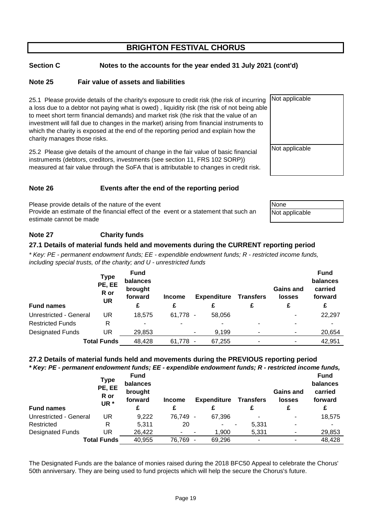#### Section C Notes to the accounts for the year ended 31 July 2021 (cont'd)

#### **Note 25 Fair value of assets and liabilities**

25.1 Please provide details of the charity's exposure to credit risk (the risk of incurring a loss due to a debtor not paying what is owed) , liquidity risk (the risk of not being able to meet short term financial demands) and market risk (the risk that the value of an investment will fall due to changes in the market) arising from financial instruments to which the charity is exposed at the end of the reporting period and explain how the charity manages those risks.

25.2 Please give details of the amount of change in the fair value of basic financial instruments (debtors, creditors, investments (see section 11, FRS 102 SORP)) measured at fair value through the SoFA that is attributable to changes in credit risk.

#### **Note 26 Events after the end of the reporting period**

Please provide details of the nature of the event Provide an estimate of the financial effect of the event or a statement that such an estimate cannot be made

#### **Note 27 Charity funds**

#### **27.1 Details of material funds held and movements during the CURRENT reporting period**

\* Key: PE - permanent endowment funds; EE - expendible endowment funds; R - restricted income funds, including special trusts, of the charity; and U - unrestricted funds

|                         | <b>Type</b><br>PE, EE<br>R or<br>UR | <b>Fund</b><br>balances<br>brought<br>forward | <b>Income</b> |                          | <b>Expenditure</b> | <b>Transfers</b> | <b>Gains and</b><br><b>losses</b> | <b>Fund</b><br>balances<br>carried<br>forward |
|-------------------------|-------------------------------------|-----------------------------------------------|---------------|--------------------------|--------------------|------------------|-----------------------------------|-----------------------------------------------|
| <b>Fund names</b>       |                                     |                                               | £             |                          |                    |                  | £                                 |                                               |
| Unrestricted - General  | UR                                  | 18.575                                        | $61.778 -$    |                          | 58.056             |                  | ۰                                 | 22,297                                        |
| <b>Restricted Funds</b> | R                                   | ۰                                             |               |                          |                    | ۰                |                                   |                                               |
| <b>Designated Funds</b> | UR                                  | 29,853                                        |               | $\overline{\phantom{a}}$ | 9.199              | ٠                | ۰                                 | 20,654                                        |
|                         | <b>Total Funds</b>                  | 48,428                                        | 61,778        | $\blacksquare$           | 67.255             |                  |                                   | 42,951                                        |

#### **27.2 Details of material funds held and movements during the PREVIOUS reporting period**

**\* Key: PE - permanent endowment funds; EE - expendible endowment funds; R - restricted income funds,** 

| <b>Fund names</b>       | <b>Type</b><br>PE, EE<br>R or<br>UR * | <b>Fund</b><br>balances<br>brought<br>forward<br>£ | <b>Income</b><br>£       | <b>Expenditure</b>       | <b>Transfers</b><br>£ | <b>Gains and</b><br><b>losses</b> | <b>Fund</b><br>balances<br>carried<br>forward<br>£ |
|-------------------------|---------------------------------------|----------------------------------------------------|--------------------------|--------------------------|-----------------------|-----------------------------------|----------------------------------------------------|
| Unrestricted - General  | UR                                    | 9.222                                              | 76,749                   | 67.396<br>$\blacksquare$ | -                     | ۰                                 | 18,575                                             |
| Restricted              | R                                     | 5,311                                              | 20                       |                          | 5.331                 | ٠                                 |                                                    |
| <b>Designated Funds</b> | UR                                    | 26,422                                             | $\overline{\phantom{a}}$ |                          | 1,900<br>5,331        | ۰                                 | 29,853                                             |
|                         | <b>Total Funds</b>                    | 40,955                                             | 76.769                   | 69,296<br>$\blacksquare$ |                       | ۰                                 | 48,428                                             |

The Designated Funds are the balance of monies raised during the 2018 BFC50 Appeal to celebrate the Chorus' 50th anniversary. They are being used to fund projects which will help the secure the Chorus's future.

|   | Not applicable |
|---|----------------|
| ≀ |                |
|   |                |
|   |                |
|   |                |
|   |                |
|   | Not applicable |
|   |                |
|   |                |
|   |                |

| None           |  |
|----------------|--|
| Not applicable |  |